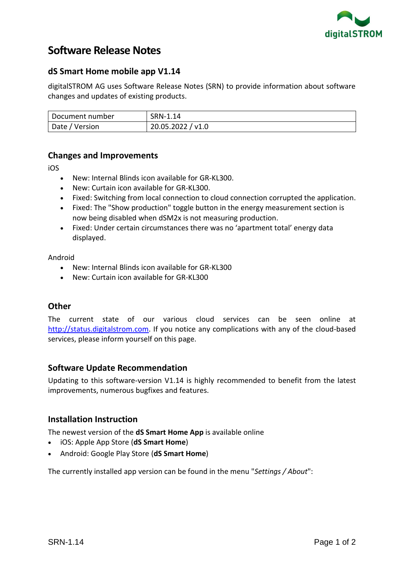

# **Software Release Notes**

## **dS Smart Home mobile app V1.14**

digitalSTROM AG uses Software Release Notes (SRN) to provide information about software changes and updates of existing products.

| Document number | SRN-1.14          |
|-----------------|-------------------|
| Date / Version  | 20.05.2022 / v1.0 |

## **Changes and Improvements**

iOS

- New: Internal Blinds icon available for GR-KL300.
- New: Curtain icon available for GR-KL300.
- Fixed: Switching from local connection to cloud connection corrupted the application.
- Fixed: The "Show production" toggle button in the energy measurement section is now being disabled when dSM2x is not measuring production.
- Fixed: Under certain circumstances there was no 'apartment total' energy data displayed.

Android

- New: Internal Blinds icon available for GR-KL300
- New: Curtain icon available for GR-KL300

## **Other**

The current state of our various cloud services can be seen online at [http://status.digitalstrom.com.](http://status.digitalstrom.com/) If you notice any complications with any of the cloud-based services, please inform yourself on this page.

## **Software Update Recommendation**

Updating to this software-version V1.14 is highly recommended to benefit from the latest improvements, numerous bugfixes and features.

## **Installation Instruction**

The newest version of the **dS Smart Home App** is available online

- iOS: Apple App Store (**dS Smart Home**)
- Android: Google Play Store (**dS Smart Home**)

The currently installed app version can be found in the menu "*Settings / About*":